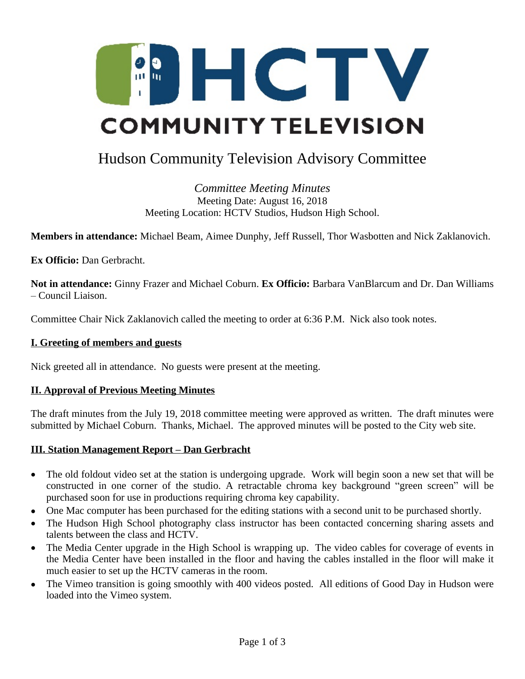

# Hudson Community Television Advisory Committee

*Committee Meeting Minutes* Meeting Date: August 16, 2018 Meeting Location: HCTV Studios, Hudson High School.

**Members in attendance:** Michael Beam, Aimee Dunphy, Jeff Russell, Thor Wasbotten and Nick Zaklanovich.

**Ex Officio:** Dan Gerbracht.

**Not in attendance:** Ginny Frazer and Michael Coburn. **Ex Officio:** Barbara VanBlarcum and Dr. Dan Williams – Council Liaison.

Committee Chair Nick Zaklanovich called the meeting to order at 6:36 P.M. Nick also took notes.

### **I. Greeting of members and guests**

Nick greeted all in attendance. No guests were present at the meeting.

### **II. Approval of Previous Meeting Minutes**

The draft minutes from the July 19, 2018 committee meeting were approved as written. The draft minutes were submitted by Michael Coburn. Thanks, Michael. The approved minutes will be posted to the City web site.

### **III. Station Management Report – Dan Gerbracht**

- The old foldout video set at the station is undergoing upgrade. Work will begin soon a new set that will be constructed in one corner of the studio. A retractable chroma key background "green screen" will be purchased soon for use in productions requiring chroma key capability.
- One Mac computer has been purchased for the editing stations with a second unit to be purchased shortly.
- The Hudson High School photography class instructor has been contacted concerning sharing assets and talents between the class and HCTV.
- The Media Center upgrade in the High School is wrapping up. The video cables for coverage of events in the Media Center have been installed in the floor and having the cables installed in the floor will make it much easier to set up the HCTV cameras in the room.
- The Vimeo transition is going smoothly with 400 videos posted. All editions of Good Day in Hudson were loaded into the Vimeo system.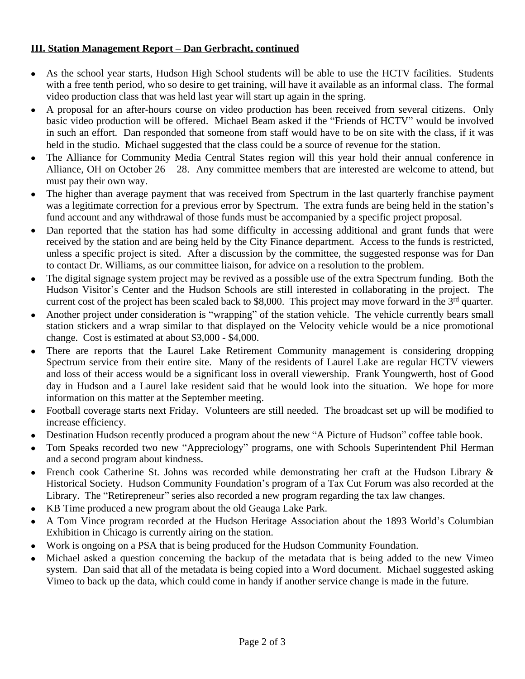# **III. Station Management Report – Dan Gerbracht, continued**

- As the school year starts, Hudson High School students will be able to use the HCTV facilities. Students with a free tenth period, who so desire to get training, will have it available as an informal class. The formal video production class that was held last year will start up again in the spring.
- A proposal for an after-hours course on video production has been received from several citizens. Only basic video production will be offered. Michael Beam asked if the "Friends of HCTV" would be involved in such an effort. Dan responded that someone from staff would have to be on site with the class, if it was held in the studio. Michael suggested that the class could be a source of revenue for the station.
- The Alliance for Community Media Central States region will this year hold their annual conference in Alliance, OH on October 26 – 28. Any committee members that are interested are welcome to attend, but must pay their own way.
- The higher than average payment that was received from Spectrum in the last quarterly franchise payment was a legitimate correction for a previous error by Spectrum. The extra funds are being held in the station's fund account and any withdrawal of those funds must be accompanied by a specific project proposal.
- Dan reported that the station has had some difficulty in accessing additional and grant funds that were received by the station and are being held by the City Finance department. Access to the funds is restricted, unless a specific project is sited. After a discussion by the committee, the suggested response was for Dan to contact Dr. Williams, as our committee liaison, for advice on a resolution to the problem.
- The digital signage system project may be revived as a possible use of the extra Spectrum funding. Both the Hudson Visitor's Center and the Hudson Schools are still interested in collaborating in the project. The current cost of the project has been scaled back to \$8,000. This project may move forward in the 3<sup>rd</sup> quarter.
- Another project under consideration is "wrapping" of the station vehicle. The vehicle currently bears small station stickers and a wrap similar to that displayed on the Velocity vehicle would be a nice promotional change. Cost is estimated at about \$3,000 - \$4,000.
- There are reports that the Laurel Lake Retirement Community management is considering dropping Spectrum service from their entire site. Many of the residents of Laurel Lake are regular HCTV viewers and loss of their access would be a significant loss in overall viewership. Frank Youngwerth, host of Good day in Hudson and a Laurel lake resident said that he would look into the situation. We hope for more information on this matter at the September meeting.
- Football coverage starts next Friday. Volunteers are still needed. The broadcast set up will be modified to increase efficiency.
- Destination Hudson recently produced a program about the new "A Picture of Hudson" coffee table book.
- Tom Speaks recorded two new "Appreciology" programs, one with Schools Superintendent Phil Herman and a second program about kindness.
- French cook Catherine St. Johns was recorded while demonstrating her craft at the Hudson Library & Historical Society. Hudson Community Foundation's program of a Tax Cut Forum was also recorded at the Library. The "Retirepreneur" series also recorded a new program regarding the tax law changes.
- KB Time produced a new program about the old Geauga Lake Park.
- A Tom Vince program recorded at the Hudson Heritage Association about the 1893 World's Columbian Exhibition in Chicago is currently airing on the station.
- Work is ongoing on a PSA that is being produced for the Hudson Community Foundation.
- Michael asked a question concerning the backup of the metadata that is being added to the new Vimeo system. Dan said that all of the metadata is being copied into a Word document. Michael suggested asking Vimeo to back up the data, which could come in handy if another service change is made in the future.